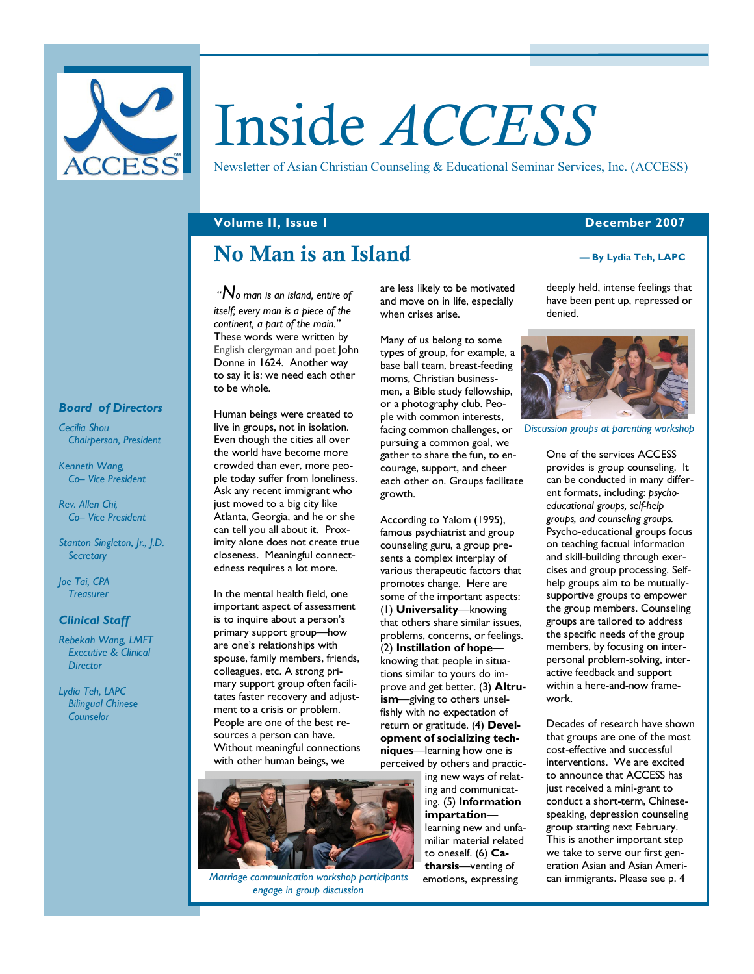

# Inside *ACCESS*

Newsletter of Asian Christian Counseling & Educational Seminar Services, Inc. (ACCESS)

### **Volume II, Issue 1 December 2007**

# **No Man is an Island**

 "*No man is an island, entire of itself; every man is a piece of the continent, a part of the main.*" These words were written by English clergyman and poet John Donne in 1624. Another way to say it is: we need each other to be whole.

Human beings were created to live in groups, not in isolation. Even though the cities all over the world have become more crowded than ever, more people today suffer from loneliness. Ask any recent immigrant who just moved to a big city like Atlanta, Georgia, and he or she can tell you all about it. Proximity alone does not create true closeness. Meaningful connectedness requires a lot more.

In the mental health field, one important aspect of assessment is to inquire about a person's primary support group—how are one's relationships with spouse, family members, friends, colleagues, etc. A strong primary support group often facilitates faster recovery and adjustment to a crisis or problem. People are one of the best resources a person can have. Without meaningful connections with other human beings, we



*Marriage communication workshop participants engage in group discussion* 

are less likely to be motivated and move on in life, especially when crises arise.

Many of us belong to some types of group, for example, a base ball team, breast-feeding moms, Christian businessmen, a Bible study fellowship, or a photography club. People with common interests, facing common challenges, or *Discussion groups at parenting workshop*pursuing a common goal, we gather to share the fun, to encourage, support, and cheer each other on. Groups facilitate growth.

According to Yalom (1995), famous psychiatrist and group counseling guru, a group presents a complex interplay of various therapeutic factors that promotes change. Here are some of the important aspects: (1) **Universality**—knowing that others share similar issues, problems, concerns, or feelings. (2) **Instillation of hope** knowing that people in situations similar to yours do improve and get better. (3) **Altruism**—giving to others unselfishly with no expectation of return or gratitude. (4) **Development of socializing techniques**—learning how one is perceived by others and practic-

ing new ways of relating and communicating. (5) **Information impartation** learning new and unfamiliar material related to oneself. (6) **Catharsis**—venting of emotions, expressing

#### **— By Lydia Teh, LAPC**

deeply held, intense feelings that have been pent up, repressed or denied.



One of the services ACCESS provides is group counseling. It can be conducted in many different formats, including: *psychoeducational groups, self-help groups, and counseling groups.* Psycho-educational groups focus on teaching factual information and skill-building through exercises and group processing. Selfhelp groups aim to be mutuallysupportive groups to empower the group members. Counseling groups are tailored to address the specific needs of the group members, by focusing on interpersonal problem-solving, interactive feedback and support within a here-and-now framework.

Decades of research have shown that groups are one of the most cost-effective and successful interventions. We are excited to announce that ACCESS has just received a mini-grant to conduct a short-term, Chinesespeaking, depression counseling group starting next February. This is another important step we take to serve our first generation Asian and Asian American immigrants. Please see p. 4

#### *Board of Directors*

*Cecilia Shou Chairperson, President* 

*Kenneth Wang, Co– Vice President* 

*Rev. Allen Chi, Co– Vice President* 

*Stanton Singleton, Jr., J.D. Secretary* 

*Joe Tai, CPA Treasurer* 

#### *Clinical Staff*

*Rebekah Wang, LMFT Executive & Clinical Director* 

*Lydia Teh, LAPC Bilingual Chinese Counselor*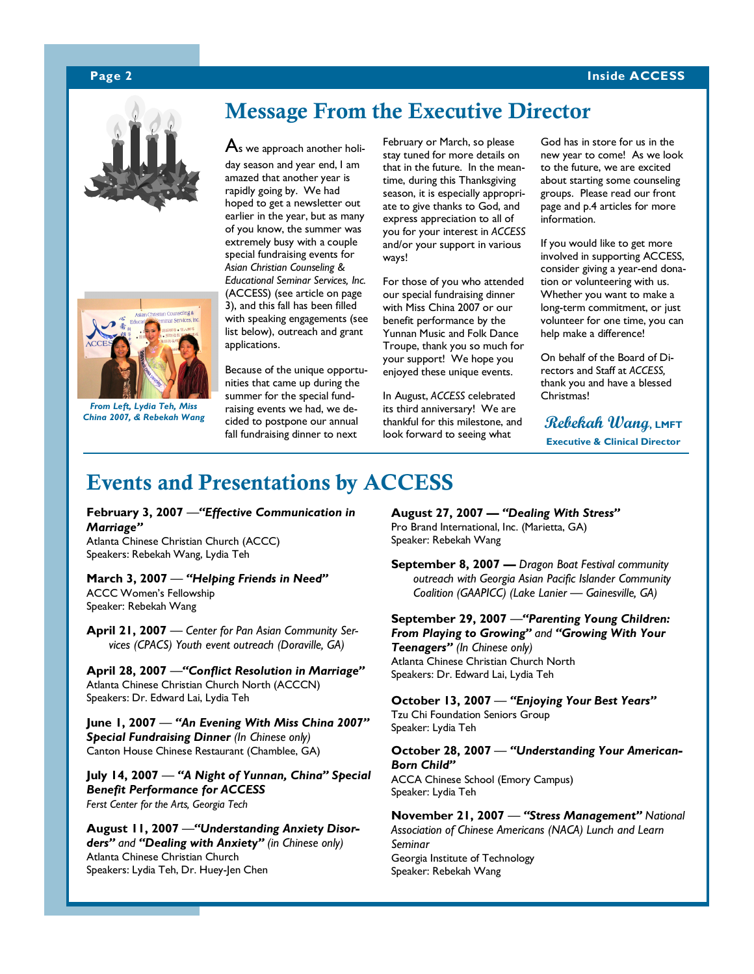### **Page 2 Inside ACCESS**





*From Left, Lydia Teh, Miss China 2007, & Rebekah Wang* 

### **Message From the Executive Director**

 $\mathsf A$ s we approach another holi-

day season and year end, I am amazed that another year is rapidly going by. We had hoped to get a newsletter out earlier in the year, but as many of you know, the summer was extremely busy with a couple special fundraising events for *Asian Christian Counseling & Educational Seminar Services, Inc.* (ACCESS) (see article on page 3), and this fall has been filled with speaking engagements (see list below), outreach and grant applications.

Because of the unique opportunities that came up during the summer for the special fundraising events we had, we decided to postpone our annual fall fundraising dinner to next

February or March, so please stay tuned for more details on that in the future. In the meantime, during this Thanksgiving season, it is especially appropriate to give thanks to God, and express appreciation to all of you for your interest in *ACCESS*  and/or your support in various ways!

For those of you who attended our special fundraising dinner with Miss China 2007 or our benefit performance by the Yunnan Music and Folk Dance Troupe, thank you so much for your support! We hope you enjoyed these unique events.

In August, *ACCESS* celebrated its third anniversary! We are thankful for this milestone, and look forward to seeing what

God has in store for us in the new year to come! As we look to the future, we are excited about starting some counseling groups. Please read our front page and p.4 articles for more information.

If you would like to get more involved in supporting ACCESS, consider giving a year-end donation or volunteering with us. Whether you want to make a long-term commitment, or just volunteer for one time, you can help make a difference!

On behalf of the Board of Directors and Staff at *ACCESS,*  thank you and have a blessed Christmas!

**Rebekah Wang, LMFT Executive & Clinical Director** 

### **Events and Presentations by ACCESS**

**February 3, 2007** —*"Effective Communication in Marriage"* 

Atlanta Chinese Christian Church (ACCC) Speakers: Rebekah Wang, Lydia Teh

**March 3, 2007** — *"Helping Friends in Need"* ACCC Women's Fellowship Speaker: Rebekah Wang

**April 21, 2007** — *Center for Pan Asian Community Services (CPACS) Youth event outreach (Doraville, GA)*

**April 28, 2007** —*"Conflict Resolution in Marriage"*  Atlanta Chinese Christian Church North (ACCCN) Speakers: Dr. Edward Lai, Lydia Teh

**June 1, 2007** — *"An Evening With Miss China 2007" Special Fundraising Dinner (In Chinese only)*  Canton House Chinese Restaurant (Chamblee, GA)

**July 14, 2007** — *"A Night of Yunnan, China" Special Benefit Performance for ACCESS Ferst Center for the Arts, Georgia Tech*

**August 11, 2007** —*"Understanding Anxiety Disorders" and "Dealing with Anxiety" (in Chinese only)* Atlanta Chinese Christian Church Speakers: Lydia Teh, Dr. Huey-Jen Chen

**August 27, 2007 —** *"Dealing With Stress"* Pro Brand International, Inc. (Marietta, GA) Speaker: Rebekah Wang

**September 8, 2007 —** *Dragon Boat Festival community outreach with Georgia Asian Pacific Islander Community Coalition (GAAPICC) (Lake Lanier — Gainesville, GA)*

**September 29, 2007** —*"Parenting Young Children: From Playing to Growing" and "Growing With Your Teenagers" (In Chinese only)*  Atlanta Chinese Christian Church North Speakers: Dr. Edward Lai, Lydia Teh

**October 13, 2007** — *"Enjoying Your Best Years"* Tzu Chi Foundation Seniors Group

Speaker: Lydia Teh

**October 28, 2007** — *"Understanding Your American-Born Child"*  ACCA Chinese School (Emory Campus)

Speaker: Lydia Teh **November 21, 2007** — *"Stress Management" National Association of Chinese Americans (NACA) Lunch and Learn Seminar*  Georgia Institute of Technology Speaker: Rebekah Wang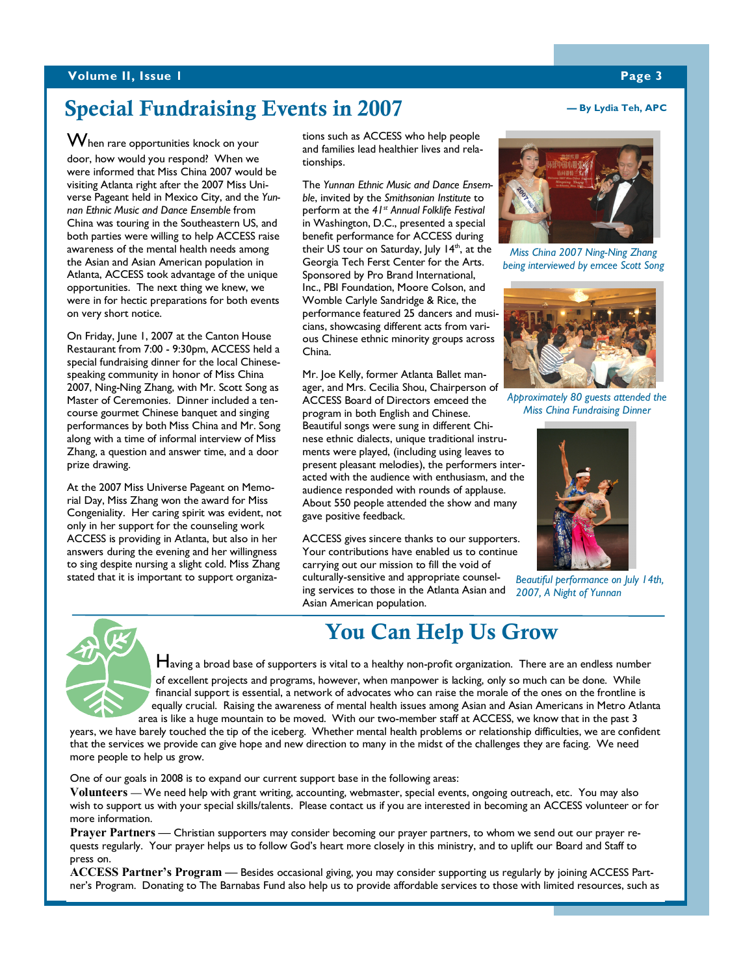### **Volume II, Issue 1 Page 3 Page 3**

### **Special Fundraising Events in 2007**

When rare opportunities knock on your door, how would you respond? When we were informed that Miss China 2007 would be visiting Atlanta right after the 2007 Miss Universe Pageant held in Mexico City, and the *Yunnan Ethnic Music and Dance Ensemble* from China was touring in the Southeastern US, and both parties were willing to help ACCESS raise awareness of the mental health needs among the Asian and Asian American population in Atlanta, ACCESS took advantage of the unique opportunities. The next thing we knew, we were in for hectic preparations for both events on very short notice.

On Friday, June 1, 2007 at the Canton House Restaurant from 7:00 - 9:30pm, ACCESS held a special fundraising dinner for the local Chinesespeaking community in honor of Miss China 2007, Ning-Ning Zhang, with Mr. Scott Song as Master of Ceremonies. Dinner included a tencourse gourmet Chinese banquet and singing performances by both Miss China and Mr. Song along with a time of informal interview of Miss Zhang, a question and answer time, and a door prize drawing.

At the 2007 Miss Universe Pageant on Memorial Day, Miss Zhang won the award for Miss Congeniality. Her caring spirit was evident, not only in her support for the counseling work ACCESS is providing in Atlanta, but also in her answers during the evening and her willingness to sing despite nursing a slight cold. Miss Zhang stated that it is important to support organizations such as ACCESS who help people and families lead healthier lives and relationships.

benefit performance for ACCESS during The *Yunnan Ethnic Music and Dance Ensemble*, invited by the *Smithsonian Institute* to perform at the *41st Annual Folklife Festival* in Washington, D.C., presented a special their US tour on Saturday, July  $14<sup>th</sup>$ , at the Georgia Tech Ferst Center for the Arts. Sponsored by Pro Brand International, Inc., PBI Foundation, Moore Colson, and Womble Carlyle Sandridge & Rice, the performance featured 25 dancers and musicians, showcasing different acts from various Chinese ethnic minority groups across China.

Mr. Joe Kelly, former Atlanta Ballet manager, and Mrs. Cecilia Shou, Chairperson of ACCESS Board of Directors emceed the program in both English and Chinese. Beautiful songs were sung in different Chinese ethnic dialects, unique traditional instruments were played, (including using leaves to present pleasant melodies), the performers interacted with the audience with enthusiasm, and the audience responded with rounds of applause. About 550 people attended the show and many gave positive feedback.

ACCESS gives sincere thanks to our supporters. Your contributions have enabled us to continue carrying out our mission to fill the void of

culturally-sensitive and appropriate counseling services to those in the Atlanta Asian and Asian American population.

## **You Can Help Us Grow**

Having a broad base of supporters is vital to a healthy non-profit organization. There are an endless number of excellent projects and programs, however, when manpower is lacking, only so much can be done. While financial support is essential, a network of advocates who can raise the morale of the ones on the frontline is equally crucial. Raising the awareness of mental health issues among Asian and Asian Americans in Metro Atlanta area is like a huge mountain to be moved. With our two-member staff at ACCESS, we know that in the past 3

years, we have barely touched the tip of the iceberg. Whether mental health problems or relationship difficulties, we are confident that the services we provide can give hope and new direction to many in the midst of the challenges they are facing. We need more people to help us grow.

One of our goals in 2008 is to expand our current support base in the following areas:

**Volunteers —** We need help with grant writing, accounting, webmaster, special events, ongoing outreach, etc. You may also wish to support us with your special skills/talents. Please contact us if you are interested in becoming an ACCESS volunteer or for more information.

**Prayer Partners —** Christian supporters may consider becoming our prayer partners, to whom we send out our prayer requests regularly. Your prayer helps us to follow God's heart more closely in this ministry, and to uplift our Board and Staff to press on.

**ACCESS Partner's Program —** Besides occasional giving, you may consider supporting us regularly by joining ACCESS Partner's Program. Donating to The Barnabas Fund also help us to provide affordable services to those with limited resources, such as

### **— By Lydia Teh, APC**

*Miss China 2007 Ning-Ning Zhang* 

*being interviewed by emcee Scott Song* 

*Approximately 80 guests attended the Miss China Fundraising Dinner* 

*Beautiful performance on July 14th, 2007, A Night of Yunnan*